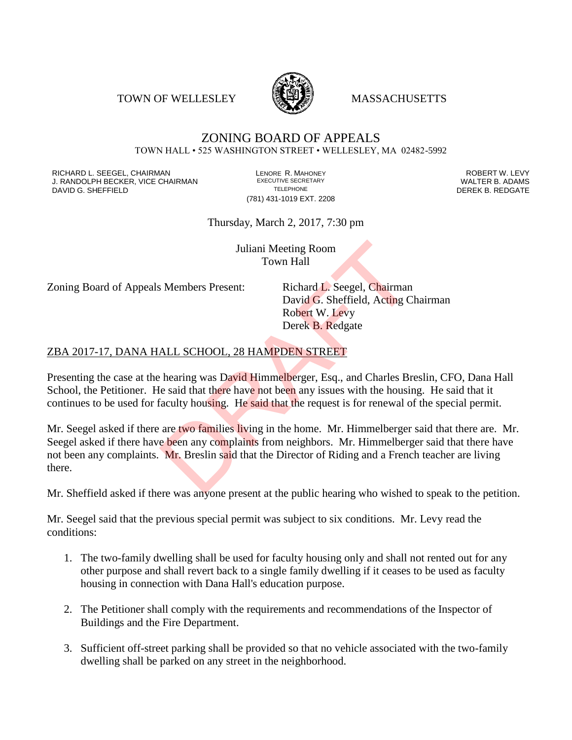TOWN OF WELLESLEY **WELLESLEY** MASSACHUSETTS



#### ZONING BOARD OF APPEALS TOWN HALL • 525 WASHINGTON STREET • WELLESLEY, MA 02482-5992

RICHARD L. SEEGEL, CHAIRMAN LENORE R. MAHONEY ROBERT W. LEVY J. RANDOLPH BECKER, VICE CHAIRMAN EXECUTIVE SECRETARY THE SECRETARY THE SANDOLPH BECKER B. ADAMS<br>DEREK B. REDGATE DAVID G. SHEFFIELD

(781) 431-1019 EXT. 2208

Thursday, March 2, 2017, 7:30 pm

Juliani Meeting Room Town Hall

Zoning Board of Appeals Members Present: Richard L. Seegel, Chairman

David G. Sheffield, Acting Chairman Robert W. Levy Derek B. Redgate

### ZBA 2017-17, DANA HALL SCHOOL, 28 HAMPDEN STREET

Presenting the case at the hearing was David Himmelberger, Esq., and Charles Breslin, CFO, Dana Hall School, the Petitioner. He said that there have not been any issues with the housing. He said that it continues to be used for faculty housing. He said that the request is for renewal of the special permit.

Mr. Seegel asked if there are two families living in the home. Mr. Himmelberger said that there are. Mr. Seegel asked if there have been any complaints from neighbors. Mr. Himmelberger said that there have not been any complaints. Mr. Breslin said that the Director of Riding and a French teacher are living there. Juliani Meeting Room<br>
Town Hall<br>
S. Members Present: Richard L. Seegel, Chairman<br>
David G. Sheffield, Acting C<br>
Robert W. Levy<br>
Derek B. Redgate<br>
ALL SCHOOL, 28 HAMPDEN STREET<br>
thearing was David Himmelberger, Esq., and Ch

Mr. Sheffield asked if there was anyone present at the public hearing who wished to speak to the petition.

Mr. Seegel said that the previous special permit was subject to six conditions. Mr. Levy read the conditions:

- 1. The two-family dwelling shall be used for faculty housing only and shall not rented out for any other purpose and shall revert back to a single family dwelling if it ceases to be used as faculty housing in connection with Dana Hall's education purpose.
- 2. The Petitioner shall comply with the requirements and recommendations of the Inspector of Buildings and the Fire Department.
- 3. Sufficient off-street parking shall be provided so that no vehicle associated with the two-family dwelling shall be parked on any street in the neighborhood.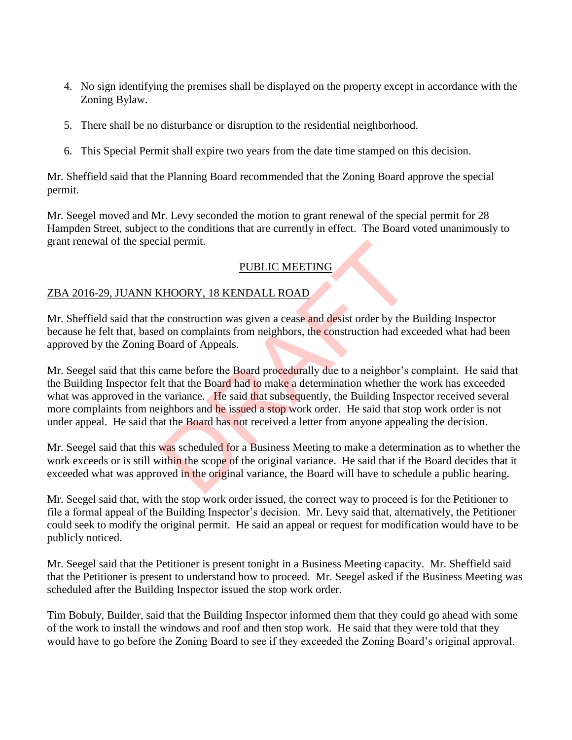- 4. No sign identifying the premises shall be displayed on the property except in accordance with the Zoning Bylaw.
- 5. There shall be no disturbance or disruption to the residential neighborhood.
- 6. This Special Permit shall expire two years from the date time stamped on this decision.

Mr. Sheffield said that the Planning Board recommended that the Zoning Board approve the special permit.

Mr. Seegel moved and Mr. Levy seconded the motion to grant renewal of the special permit for 28 Hampden Street, subject to the conditions that are currently in effect. The Board voted unanimously to grant renewal of the special permit.

# PUBLIC MEETING

## ZBA 2016-29, JUANN KHOORY, 18 KENDALL ROAD

Mr. Sheffield said that the construction was given a cease and desist order by the Building Inspector because he felt that, based on complaints from neighbors, the construction had exceeded what had been approved by the Zoning Board of Appeals.

Mr. Seegel said that this came before the Board procedurally due to a neighbor's complaint. He said that the Building Inspector felt that the Board had to make a determination whether the work has exceeded what was approved in the variance. He said that subsequently, the Building Inspector received several more complaints from neighbors and he issued a stop work order. He said that stop work order is not under appeal. He said that the **Board** has not received a letter from anyone appealing the decision. PUBLIC MEETING<br>
EXPOORY, 18 KENDALL ROAD<br>
e construction was given a cease and desist order by the l<br>
d on complaints from neighbors, the construction had exe<br>
Board of Appeals.<br>
came before the Board procedurally due to a

Mr. Seegel said that this was scheduled for a Business Meeting to make a determination as to whether the work exceeds or is still within the scope of the original variance. He said that if the Board decides that it exceeded what was approved in the original variance, the Board will have to schedule a public hearing.

Mr. Seegel said that, with the stop work order issued, the correct way to proceed is for the Petitioner to file a formal appeal of the Building Inspector's decision. Mr. Levy said that, alternatively, the Petitioner could seek to modify the original permit. He said an appeal or request for modification would have to be publicly noticed.

Mr. Seegel said that the Petitioner is present tonight in a Business Meeting capacity. Mr. Sheffield said that the Petitioner is present to understand how to proceed. Mr. Seegel asked if the Business Meeting was scheduled after the Building Inspector issued the stop work order.

Tim Bobuly, Builder, said that the Building Inspector informed them that they could go ahead with some of the work to install the windows and roof and then stop work. He said that they were told that they would have to go before the Zoning Board to see if they exceeded the Zoning Board's original approval.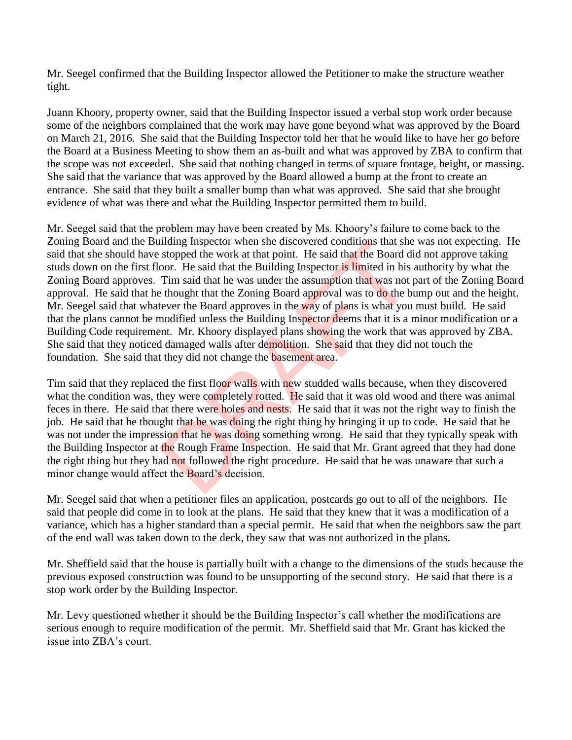Mr. Seegel confirmed that the Building Inspector allowed the Petitioner to make the structure weather tight.

Juann Khoory, property owner, said that the Building Inspector issued a verbal stop work order because some of the neighbors complained that the work may have gone beyond what was approved by the Board on March 21, 2016. She said that the Building Inspector told her that he would like to have her go before the Board at a Business Meeting to show them an as-built and what was approved by ZBA to confirm that the scope was not exceeded. She said that nothing changed in terms of square footage, height, or massing. She said that the variance that was approved by the Board allowed a bump at the front to create an entrance. She said that they built a smaller bump than what was approved. She said that she brought evidence of what was there and what the Building Inspector permitted them to build.

Mr. Seegel said that the problem may have been created by Ms. Khoory's failure to come back to the Zoning Board and the Building Inspector when she discovered conditions that she was not expecting. He said that she should have stopped the work at that point. He said that the Board did not approve taking studs down on the first floor. He said that the Building Inspector is limited in his authority by what the Zoning Board approves. Tim said that he was under the assumption that was not part of the Zoning Board approval. He said that he thought that the Zoning Board approval was to do the bump out and the height. Mr. Seegel said that whatever the Board approves in the way of plans is what you must build. He said that the plans cannot be modified unless the Building Inspector deems that it is a minor modification or a Building Code requirement. Mr. Khoory displayed plans showing the work that was approved by ZBA. She said that they noticed damaged walls after demolition. She said that they did not touch the foundation. She said that they did not change the basement area. illing inspector when she discovered conditions that she<br>stopped the work at that point. He said that the Board di<br>oor. He said that the Building Inspector is limited in his<br>Tim said that the Building Inspector is limited

Tim said that they replaced the first floor walls with new studded walls because, when they discovered what the condition was, they were completely rotted. He said that it was old wood and there was animal feces in there. He said that there were holes and nests. He said that it was not the right way to finish the job. He said that he thought that he was doing the right thing by bringing it up to code. He said that he was not under the impression that he was doing something wrong. He said that they typically speak with the Building Inspector at the Rough Frame Inspection. He said that Mr. Grant agreed that they had done the right thing but they had not followed the right procedure. He said that he was unaware that such a minor change would affect the Board's decision.

Mr. Seegel said that when a petitioner files an application, postcards go out to all of the neighbors. He said that people did come in to look at the plans. He said that they knew that it was a modification of a variance, which has a higher standard than a special permit. He said that when the neighbors saw the part of the end wall was taken down to the deck, they saw that was not authorized in the plans.

Mr. Sheffield said that the house is partially built with a change to the dimensions of the studs because the previous exposed construction was found to be unsupporting of the second story. He said that there is a stop work order by the Building Inspector.

Mr. Levy questioned whether it should be the Building Inspector's call whether the modifications are serious enough to require modification of the permit. Mr. Sheffield said that Mr. Grant has kicked the issue into ZBA's court.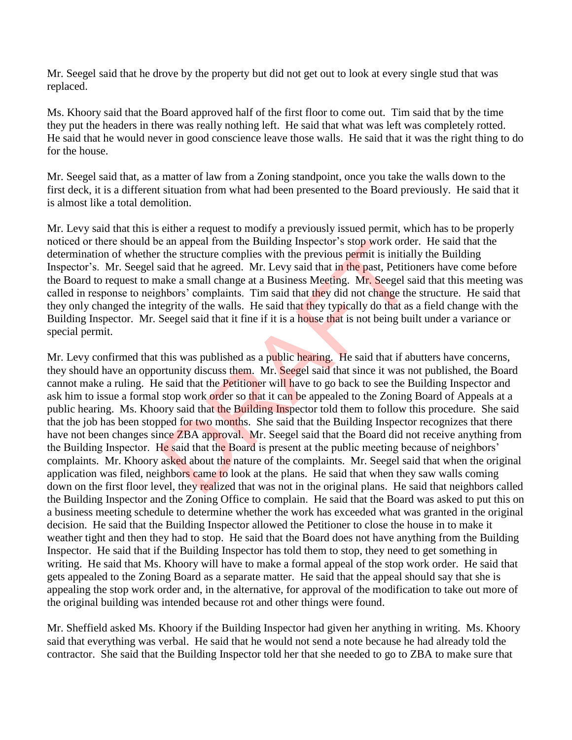Mr. Seegel said that he drove by the property but did not get out to look at every single stud that was replaced.

Ms. Khoory said that the Board approved half of the first floor to come out. Tim said that by the time they put the headers in there was really nothing left. He said that what was left was completely rotted. He said that he would never in good conscience leave those walls. He said that it was the right thing to do for the house.

Mr. Seegel said that, as a matter of law from a Zoning standpoint, once you take the walls down to the first deck, it is a different situation from what had been presented to the Board previously. He said that it is almost like a total demolition.

Mr. Levy said that this is either a request to modify a previously issued permit, which has to be properly noticed or there should be an appeal from the Building Inspector's stop work order. He said that the determination of whether the structure complies with the previous permit is initially the Building Inspector's. Mr. Seegel said that he agreed. Mr. Levy said that in the past, Petitioners have come before the Board to request to make a small change at a Business Meeting. Mr. Seegel said that this meeting was called in response to neighbors' complaints. Tim said that they did not change the structure. He said that they only changed the integrity of the walls. He said that they typically do that as a field change with the Building Inspector. Mr. Seegel said that it fine if it is a house that is not being built under a variance or special permit.

Mr. Levy confirmed that this was published as a public hearing. He said that if abutters have concerns, they should have an opportunity discuss them. Mr. Seegel said that since it was not published, the Board cannot make a ruling. He said that the Petitioner will have to go back to see the Building Inspector and ask him to issue a formal stop work order so that it can be appealed to the Zoning Board of Appeals at a public hearing. Ms. Khoory said that the Building Inspector told them to follow this procedure. She said that the job has been stopped for two months. She said that the Building Inspector recognizes that there have not been changes since **ZBA approval.** Mr. Seegel said that the Board did not receive anything from the Building Inspector. He said that the Board is present at the public meeting because of neighbors' complaints. Mr. Khoory asked about the nature of the complaints. Mr. Seegel said that when the original application was filed, neighbors came to look at the plans. He said that when they saw walls coming down on the first floor level, they realized that was not in the original plans. He said that neighbors called the Building Inspector and the Zoning Office to complain. He said that the Board was asked to put this on a business meeting schedule to determine whether the work has exceeded what was granted in the original decision. He said that the Building Inspector allowed the Petitioner to close the house in to make it weather tight and then they had to stop. He said that the Board does not have anything from the Building Inspector. He said that if the Building Inspector has told them to stop, they need to get something in writing. He said that Ms. Khoory will have to make a formal appeal of the stop work order. He said that gets appealed to the Zoning Board as a separate matter. He said that the appeal should say that she is appealing the stop work order and, in the alternative, for approval of the modification to take out more of the original building was intended because rot and other things were found. e an appeal from the Building Inspector's stop work order<br>the structure complies with the previous permit is initial<br>said that he agreed. Mr. Levy said that in the past, Petitic<br>ake a small change at a Business Meeting. Mr

Mr. Sheffield asked Ms. Khoory if the Building Inspector had given her anything in writing. Ms. Khoory said that everything was verbal. He said that he would not send a note because he had already told the contractor. She said that the Building Inspector told her that she needed to go to ZBA to make sure that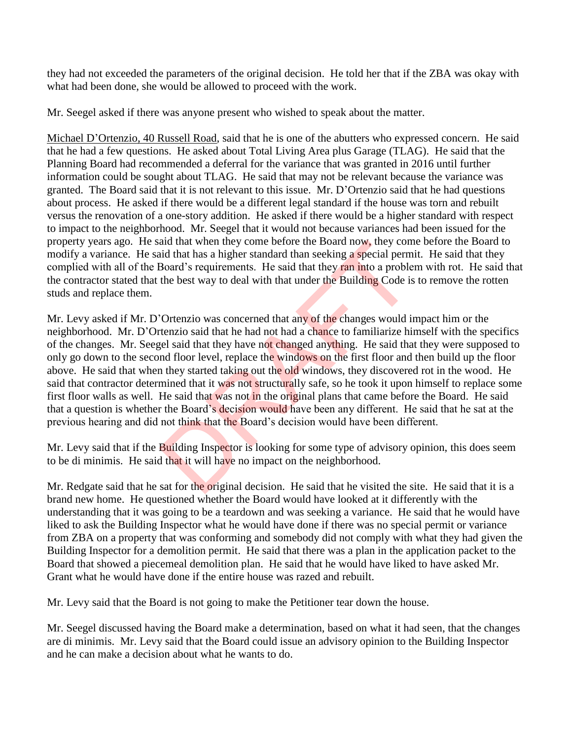they had not exceeded the parameters of the original decision. He told her that if the ZBA was okay with what had been done, she would be allowed to proceed with the work.

Mr. Seegel asked if there was anyone present who wished to speak about the matter.

Michael D'Ortenzio, 40 Russell Road, said that he is one of the abutters who expressed concern. He said that he had a few questions. He asked about Total Living Area plus Garage (TLAG). He said that the Planning Board had recommended a deferral for the variance that was granted in 2016 until further information could be sought about TLAG. He said that may not be relevant because the variance was granted. The Board said that it is not relevant to this issue. Mr. D'Ortenzio said that he had questions about process. He asked if there would be a different legal standard if the house was torn and rebuilt versus the renovation of a one-story addition. He asked if there would be a higher standard with respect to impact to the neighborhood. Mr. Seegel that it would not because variances had been issued for the property years ago. He said that when they come before the Board now, they come before the Board to modify a variance. He said that has a higher standard than seeking a special permit. He said that they complied with all of the Board's requirements. He said that they ran into a problem with rot. He said that the contractor stated that the best way to deal with that under the Building Code is to remove the rotten studs and replace them.

Mr. Levy asked if Mr. D'Ortenzio was concerned that any of the changes would impact him or the neighborhood. Mr. D'Ortenzio said that he had not had a chance to familiarize himself with the specifics of the changes. Mr. Seegel said that they have not changed anything. He said that they were supposed to only go down to the second floor level, replace the windows on the first floor and then build up the floor above. He said that when they started taking out the old windows, they discovered rot in the wood. He said that contractor determined that it was not structurally safe, so he took it upon himself to replace some first floor walls as well. He said that was not in the original plans that came before the Board. He said that a question is whether the Board's decision would have been any different. He said that he sat at the previous hearing and did not think that the Board's decision would have been different. and that when they come before the Board now, they come<br>id that has a higher standard than seeking a special perm<br>Board's requirements. He said that they ran into a proble<br>the best way to deal with that under the Building

Mr. Levy said that if the Building Inspector is looking for some type of advisory opinion, this does seem to be di minimis. He said that it will have no impact on the neighborhood.

Mr. Redgate said that he sat for the original decision. He said that he visited the site. He said that it is a brand new home. He questioned whether the Board would have looked at it differently with the understanding that it was going to be a teardown and was seeking a variance. He said that he would have liked to ask the Building Inspector what he would have done if there was no special permit or variance from ZBA on a property that was conforming and somebody did not comply with what they had given the Building Inspector for a demolition permit. He said that there was a plan in the application packet to the Board that showed a piecemeal demolition plan. He said that he would have liked to have asked Mr. Grant what he would have done if the entire house was razed and rebuilt.

Mr. Levy said that the Board is not going to make the Petitioner tear down the house.

Mr. Seegel discussed having the Board make a determination, based on what it had seen, that the changes are di minimis. Mr. Levy said that the Board could issue an advisory opinion to the Building Inspector and he can make a decision about what he wants to do.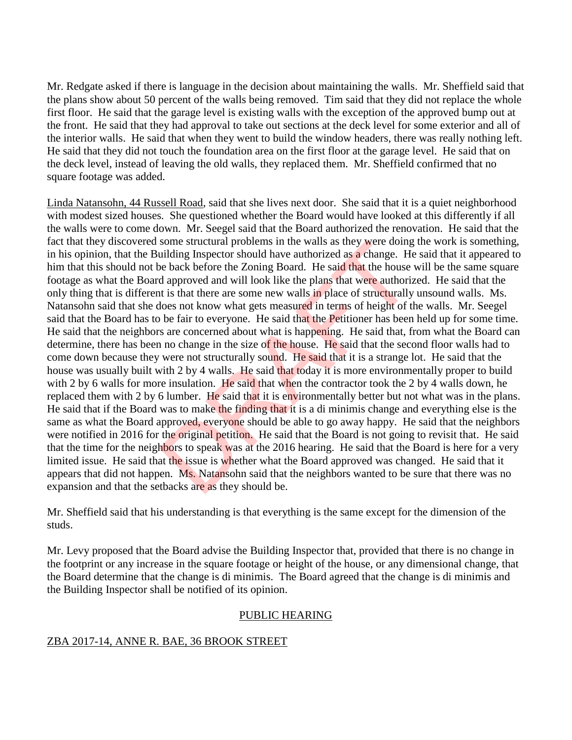Mr. Redgate asked if there is language in the decision about maintaining the walls. Mr. Sheffield said that the plans show about 50 percent of the walls being removed. Tim said that they did not replace the whole first floor. He said that the garage level is existing walls with the exception of the approved bump out at the front. He said that they had approval to take out sections at the deck level for some exterior and all of the interior walls. He said that when they went to build the window headers, there was really nothing left. He said that they did not touch the foundation area on the first floor at the garage level. He said that on the deck level, instead of leaving the old walls, they replaced them. Mr. Sheffield confirmed that no square footage was added.

Linda Natansohn, 44 Russell Road, said that she lives next door. She said that it is a quiet neighborhood with modest sized houses. She questioned whether the Board would have looked at this differently if all the walls were to come down. Mr. Seegel said that the Board authorized the renovation. He said that the fact that they discovered some structural problems in the walls as they were doing the work is something, in his opinion, that the Building Inspector should have authorized as a change. He said that it appeared to him that this should not be back before the Zoning Board. He said that the house will be the same square footage as what the Board approved and will look like the plans that were authorized. He said that the only thing that is different is that there are some new walls in place of structurally unsound walls. Ms. Natansohn said that she does not know what gets measured in terms of height of the walls. Mr. Seegel said that the Board has to be fair to everyone. He said that the Petitioner has been held up for some time. He said that the neighbors are concerned about what is happening. He said that, from what the Board can determine, there has been no change in the size of the house. He said that the second floor walls had to come down because they were not structurally sound. He said that it is a strange lot. He said that the house was usually built with 2 by 4 walls. He said that today it is more environmentally proper to build with 2 by 6 walls for more insulation. He said that when the contractor took the 2 by 4 walls down, he replaced them with 2 by 6 lumber. He said that it is environmentally better but not what was in the plans. He said that if the Board was to make the finding that it is a di minimis change and everything else is the same as what the Board approved, everyone should be able to go away happy. He said that the neighbors were notified in 2016 for the original petition. He said that the Board is not going to revisit that. He said that the time for the neighbors to speak was at the 2016 hearing. He said that the Board is here for a very limited issue. He said that the issue is whether what the Board approved was changed. He said that it appears that did not happen. Ms. Natansohn said that the neighbors wanted to be sure that there was no expansion and that the setbacks are as they should be. some structural problems in the walls as they were doinguilding Inspector should have authorized as a change. He back before the Zoning Board. He said that the house d approved and will look like the plans that were author

Mr. Sheffield said that his understanding is that everything is the same except for the dimension of the studs.

Mr. Levy proposed that the Board advise the Building Inspector that, provided that there is no change in the footprint or any increase in the square footage or height of the house, or any dimensional change, that the Board determine that the change is di minimis. The Board agreed that the change is di minimis and the Building Inspector shall be notified of its opinion.

#### PUBLIC HEARING

### ZBA 2017-14, ANNE R. BAE, 36 BROOK STREET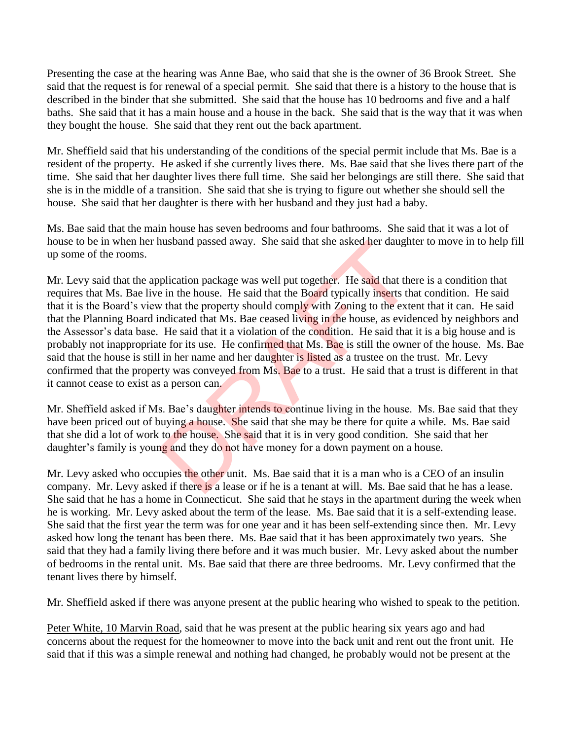Presenting the case at the hearing was Anne Bae, who said that she is the owner of 36 Brook Street. She said that the request is for renewal of a special permit. She said that there is a history to the house that is described in the binder that she submitted. She said that the house has 10 bedrooms and five and a half baths. She said that it has a main house and a house in the back. She said that is the way that it was when they bought the house. She said that they rent out the back apartment.

Mr. Sheffield said that his understanding of the conditions of the special permit include that Ms. Bae is a resident of the property. He asked if she currently lives there. Ms. Bae said that she lives there part of the time. She said that her daughter lives there full time. She said her belongings are still there. She said that she is in the middle of a transition. She said that she is trying to figure out whether she should sell the house. She said that her daughter is there with her husband and they just had a baby.

Ms. Bae said that the main house has seven bedrooms and four bathrooms. She said that it was a lot of house to be in when her husband passed away. She said that she asked her daughter to move in to help fill up some of the rooms.

Mr. Levy said that the application package was well put together. He said that there is a condition that requires that Ms. Bae live in the house. He said that the Board typically inserts that condition. He said that it is the Board's view that the property should comply with Zoning to the extent that it can. He said that the Planning Board indicated that Ms. Bae ceased living in the house, as evidenced by neighbors and the Assessor's data base. He said that it a violation of the condition. He said that it is a big house and is probably not inappropriate for its use. He confirmed that Ms. Bae is still the owner of the house. Ms. Bae said that the house is still in her name and her daughter is listed as a trustee on the trust. Mr. Levy confirmed that the property was conveyed from Ms. Bae to a trust. He said that a trust is different in that it cannot cease to exist as a person can. in the house. He said that it is in very good conditions.<br>
The said that is a mean well put together. He said that the in the house. He said that the Board typically inserts the v that the property should comply with Zonin

Mr. Sheffield asked if Ms. Bae's daughter intends to continue living in the house. Ms. Bae said that they have been priced out of buying a house. She said that she may be there for quite a while. Ms. Bae said that she did a lot of work to the house. She said that it is in very good condition. She said that her daughter's family is young and they do not have money for a down payment on a house.

Mr. Levy asked who occupies the other unit. Ms. Bae said that it is a man who is a CEO of an insulin company. Mr. Levy asked if there is a lease or if he is a tenant at will. Ms. Bae said that he has a lease. She said that he has a home in Connecticut. She said that he stays in the apartment during the week when he is working. Mr. Levy asked about the term of the lease. Ms. Bae said that it is a self-extending lease. She said that the first year the term was for one year and it has been self-extending since then. Mr. Levy asked how long the tenant has been there. Ms. Bae said that it has been approximately two years. She said that they had a family living there before and it was much busier. Mr. Levy asked about the number of bedrooms in the rental unit. Ms. Bae said that there are three bedrooms. Mr. Levy confirmed that the tenant lives there by himself.

Mr. Sheffield asked if there was anyone present at the public hearing who wished to speak to the petition.

Peter White, 10 Marvin Road, said that he was present at the public hearing six years ago and had concerns about the request for the homeowner to move into the back unit and rent out the front unit. He said that if this was a simple renewal and nothing had changed, he probably would not be present at the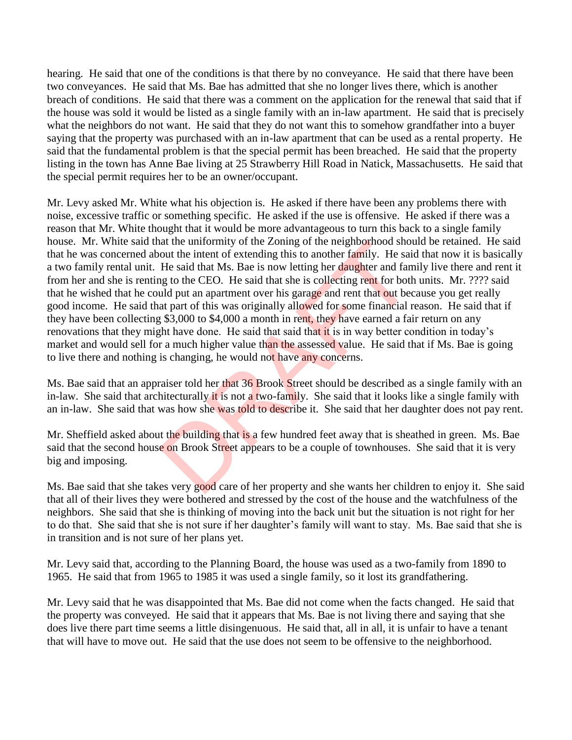hearing. He said that one of the conditions is that there by no conveyance. He said that there have been two conveyances. He said that Ms. Bae has admitted that she no longer lives there, which is another breach of conditions. He said that there was a comment on the application for the renewal that said that if the house was sold it would be listed as a single family with an in-law apartment. He said that is precisely what the neighbors do not want. He said that they do not want this to somehow grandfather into a buyer saying that the property was purchased with an in-law apartment that can be used as a rental property. He said that the fundamental problem is that the special permit has been breached. He said that the property listing in the town has Anne Bae living at 25 Strawberry Hill Road in Natick, Massachusetts. He said that the special permit requires her to be an owner/occupant.

Mr. Levy asked Mr. White what his objection is. He asked if there have been any problems there with noise, excessive traffic or something specific. He asked if the use is offensive. He asked if there was a reason that Mr. White thought that it would be more advantageous to turn this back to a single family house. Mr. White said that the uniformity of the Zoning of the neighborhood should be retained. He said that he was concerned about the intent of extending this to another family. He said that now it is basically a two family rental unit. He said that Ms. Bae is now letting her daughter and family live there and rent it from her and she is renting to the CEO. He said that she is collecting rent for both units. Mr. ???? said that he wished that he could put an apartment over his garage and rent that out because you get really good income. He said that part of this was originally allowed for some financial reason. He said that if they have been collecting \$3,000 to \$4,000 a month in rent, they have earned a fair return on any renovations that they might have done. He said that said that it is in way better condition in today's market and would sell for a much higher value than the assessed value. He said that if Ms. Bae is going to live there and nothing is changing, he would not have any concerns. at the uniformity of the Zoning of the neighborhood shoot the intent of extending this to another family. He said He said that Ms. Bae is now letting her daughter and fan g to the CEO. He said that she is collecting rent f

Ms. Bae said that an appraiser told her that 36 Brook Street should be described as a single family with an in-law. She said that architecturally it is not a two-family. She said that it looks like a single family with an in-law. She said that was how she was told to describe it. She said that her daughter does not pay rent.

Mr. Sheffield asked about the building that is a few hundred feet away that is sheathed in green. Ms. Bae said that the second house on Brook Street appears to be a couple of townhouses. She said that it is very big and imposing.

Ms. Bae said that she takes very good care of her property and she wants her children to enjoy it. She said that all of their lives they were bothered and stressed by the cost of the house and the watchfulness of the neighbors. She said that she is thinking of moving into the back unit but the situation is not right for her to do that. She said that she is not sure if her daughter's family will want to stay. Ms. Bae said that she is in transition and is not sure of her plans yet.

Mr. Levy said that, according to the Planning Board, the house was used as a two-family from 1890 to 1965. He said that from 1965 to 1985 it was used a single family, so it lost its grandfathering.

Mr. Levy said that he was disappointed that Ms. Bae did not come when the facts changed. He said that the property was conveyed. He said that it appears that Ms. Bae is not living there and saying that she does live there part time seems a little disingenuous. He said that, all in all, it is unfair to have a tenant that will have to move out. He said that the use does not seem to be offensive to the neighborhood.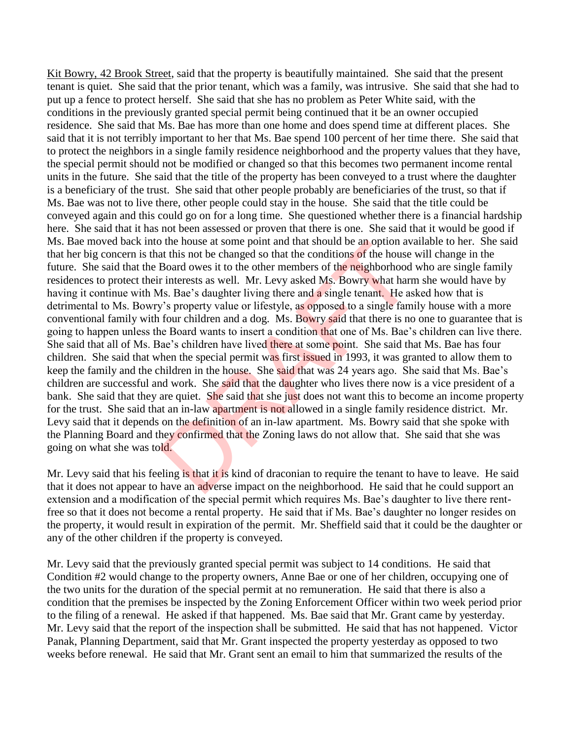Kit Bowry, 42 Brook Street, said that the property is beautifully maintained. She said that the present tenant is quiet. She said that the prior tenant, which was a family, was intrusive. She said that she had to put up a fence to protect herself. She said that she has no problem as Peter White said, with the conditions in the previously granted special permit being continued that it be an owner occupied residence. She said that Ms. Bae has more than one home and does spend time at different places. She said that it is not terribly important to her that Ms. Bae spend 100 percent of her time there. She said that to protect the neighbors in a single family residence neighborhood and the property values that they have, the special permit should not be modified or changed so that this becomes two permanent income rental units in the future. She said that the title of the property has been conveyed to a trust where the daughter is a beneficiary of the trust. She said that other people probably are beneficiaries of the trust, so that if Ms. Bae was not to live there, other people could stay in the house. She said that the title could be conveyed again and this could go on for a long time. She questioned whether there is a financial hardship here. She said that it has not been assessed or proven that there is one. She said that it would be good if Ms. Bae moved back into the house at some point and that should be an option available to her. She said that her big concern is that this not be changed so that the conditions of the house will change in the future. She said that the Board owes it to the other members of the neighborhood who are single family residences to protect their interests as well. Mr. Levy asked Ms. Bowry what harm she would have by having it continue with Ms. Bae's daughter living there and a single tenant. He asked how that is detrimental to Ms. Bowry's property value or lifestyle, as opposed to a single family house with a more conventional family with four children and a dog. Ms. Bowry said that there is no one to guarantee that is going to happen unless the Board wants to insert a condition that one of Ms. Bae's children can live there. She said that all of Ms. Bae's children have lived there at some point. She said that Ms. Bae has four children. She said that when the special permit was first issued in 1993, it was granted to allow them to keep the family and the children in the house. She said that was 24 years ago. She said that Ms. Bae's children are successful and work. She said that the daughter who lives there now is a vice president of a bank. She said that they are quiet. She said that she just does not want this to become an income property for the trust. She said that an in-law apartment is not allowed in a single family residence district. Mr. Levy said that it depends on the definition of an in-law apartment. Ms. Bowry said that she spoke with the Planning Board and they confirmed that the Zoning laws do not allow that. She said that she was going on what she was told. by the house at some point and that should be an option averat this not be changed so that the conditions of the house Board owes it to the other members of the neighborhood r interests as well. Mr. Levy asked Ms. Bowry wh

Mr. Levy said that his feeling is that it is kind of draconian to require the tenant to have to leave. He said that it does not appear to have an adverse impact on the neighborhood. He said that he could support an extension and a modification of the special permit which requires Ms. Bae's daughter to live there rentfree so that it does not become a rental property. He said that if Ms. Bae's daughter no longer resides on the property, it would result in expiration of the permit. Mr. Sheffield said that it could be the daughter or any of the other children if the property is conveyed.

Mr. Levy said that the previously granted special permit was subject to 14 conditions. He said that Condition #2 would change to the property owners, Anne Bae or one of her children, occupying one of the two units for the duration of the special permit at no remuneration. He said that there is also a condition that the premises be inspected by the Zoning Enforcement Officer within two week period prior to the filing of a renewal. He asked if that happened. Ms. Bae said that Mr. Grant came by yesterday. Mr. Levy said that the report of the inspection shall be submitted. He said that has not happened. Victor Panak, Planning Department, said that Mr. Grant inspected the property yesterday as opposed to two weeks before renewal. He said that Mr. Grant sent an email to him that summarized the results of the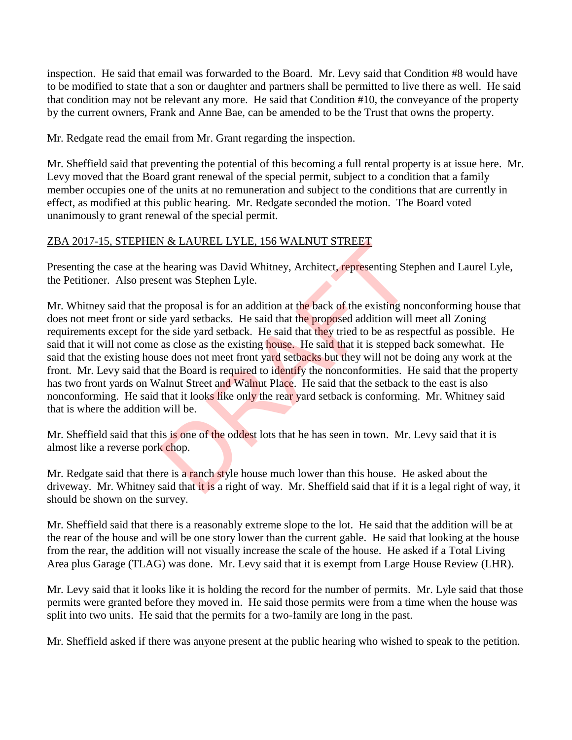inspection. He said that email was forwarded to the Board. Mr. Levy said that Condition #8 would have to be modified to state that a son or daughter and partners shall be permitted to live there as well. He said that condition may not be relevant any more. He said that Condition #10, the conveyance of the property by the current owners, Frank and Anne Bae, can be amended to be the Trust that owns the property.

Mr. Redgate read the email from Mr. Grant regarding the inspection.

Mr. Sheffield said that preventing the potential of this becoming a full rental property is at issue here. Mr. Levy moved that the Board grant renewal of the special permit, subject to a condition that a family member occupies one of the units at no remuneration and subject to the conditions that are currently in effect, as modified at this public hearing. Mr. Redgate seconded the motion. The Board voted unanimously to grant renewal of the special permit.

# ZBA 2017-15, STEPHEN & LAUREL LYLE, 156 WALNUT STREET

Presenting the case at the hearing was David Whitney, Architect, representing Stephen and Laurel Lyle, the Petitioner. Also present was Stephen Lyle.

Mr. Whitney said that the proposal is for an addition at the back of the existing nonconforming house that does not meet front or side yard setbacks. He said that the proposed addition will meet all Zoning requirements except for the side yard setback. He said that they tried to be as respectful as possible. He said that it will not come as close as the existing house. He said that it is stepped back somewhat. He said that the existing house does not meet front yard setbacks but they will not be doing any work at the front. Mr. Levy said that the Board is required to identify the nonconformities. He said that the property has two front yards on Walnut Street and Walnut Place. He said that the setback to the east is also nonconforming. He said that it looks like only the rear yard setback is conforming. Mr. Whitney said that is where the addition will be. N & LAUKEL LYLE, 156 WALNUT STREET<br>
thearing was David Whitney, Architect, representing Ste<br>
ent was Stephen Lyle.<br>
e proposal is for an addition at the back of the existing no<br>
de yard setbacks. He said that the proposed

Mr. Sheffield said that this is one of the oddest lots that he has seen in town. Mr. Levy said that it is almost like a reverse pork chop.

Mr. Redgate said that there is a ranch style house much lower than this house. He asked about the driveway. Mr. Whitney said that it is a right of way. Mr. Sheffield said that if it is a legal right of way, it should be shown on the survey.

Mr. Sheffield said that there is a reasonably extreme slope to the lot. He said that the addition will be at the rear of the house and will be one story lower than the current gable. He said that looking at the house from the rear, the addition will not visually increase the scale of the house. He asked if a Total Living Area plus Garage (TLAG) was done. Mr. Levy said that it is exempt from Large House Review (LHR).

Mr. Levy said that it looks like it is holding the record for the number of permits. Mr. Lyle said that those permits were granted before they moved in. He said those permits were from a time when the house was split into two units. He said that the permits for a two-family are long in the past.

Mr. Sheffield asked if there was anyone present at the public hearing who wished to speak to the petition.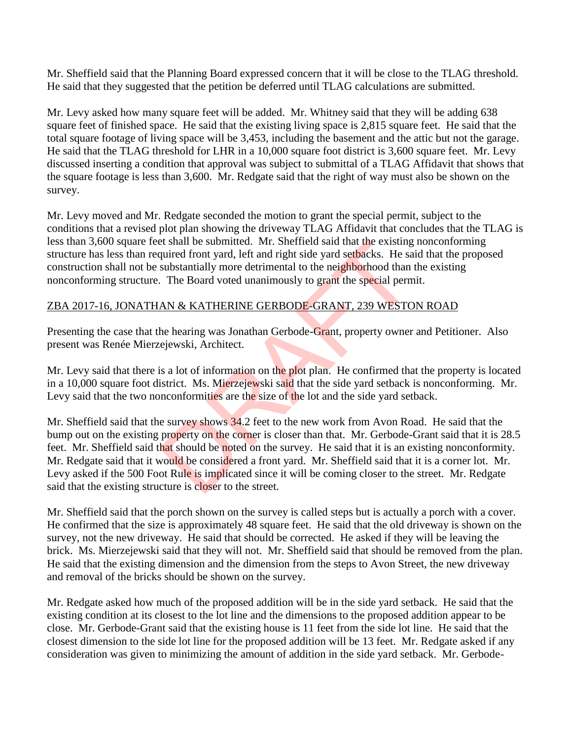Mr. Sheffield said that the Planning Board expressed concern that it will be close to the TLAG threshold. He said that they suggested that the petition be deferred until TLAG calculations are submitted.

Mr. Levy asked how many square feet will be added. Mr. Whitney said that they will be adding 638 square feet of finished space. He said that the existing living space is 2,815 square feet. He said that the total square footage of living space will be 3,453, including the basement and the attic but not the garage. He said that the TLAG threshold for LHR in a 10,000 square foot district is 3,600 square feet. Mr. Levy discussed inserting a condition that approval was subject to submittal of a TLAG Affidavit that shows that the square footage is less than 3,600. Mr. Redgate said that the right of way must also be shown on the survey.

Mr. Levy moved and Mr. Redgate seconded the motion to grant the special permit, subject to the conditions that a revised plot plan showing the driveway TLAG Affidavit that concludes that the TLAG is less than 3,600 square feet shall be submitted. Mr. Sheffield said that the existing nonconforming structure has less than required front yard, left and right side yard setbacks. He said that the proposed construction shall not be substantially more detrimental to the neighborhood than the existing nonconforming structure. The Board voted unanimously to grant the special permit.

### ZBA 2017-16, JONATHAN & KATHERINE GERBODE-GRANT, 239 WESTON ROAD

Presenting the case that the hearing was Jonathan Gerbode-Grant, property owner and Petitioner. Also present was Renée Mierzejewski, Architect.

Mr. Levy said that there is a lot of information on the plot plan. He confirmed that the property is located in a 10,000 square foot district. Ms. Mierzejewski said that the side yard setback is nonconforming. Mr. Levy said that the two nonconformities are the size of the lot and the side yard setback.

Mr. Sheffield said that the survey shows 34.2 feet to the new work from Avon Road. He said that the bump out on the existing property on the corner is closer than that. Mr. Gerbode-Grant said that it is 28.5 feet. Mr. Sheffield said that should be noted on the survey. He said that it is an existing nonconformity. Mr. Redgate said that it would be considered a front yard. Mr. Sheffield said that it is a corner lot. Mr. Levy asked if the 500 Foot Rule is implicated since it will be coming closer to the street. Mr. Redgate said that the existing structure is closer to the street. et shall be submitted. Mr. Sheffield said that the existing<br>quired front yard, left and right side yard setbacks. He sa<br>substantially more detrimental to the neighborhood than<br>The Board voted unanimously to grant the speci

Mr. Sheffield said that the porch shown on the survey is called steps but is actually a porch with a cover. He confirmed that the size is approximately 48 square feet. He said that the old driveway is shown on the survey, not the new driveway. He said that should be corrected. He asked if they will be leaving the brick. Ms. Mierzejewski said that they will not. Mr. Sheffield said that should be removed from the plan. He said that the existing dimension and the dimension from the steps to Avon Street, the new driveway and removal of the bricks should be shown on the survey.

Mr. Redgate asked how much of the proposed addition will be in the side yard setback. He said that the existing condition at its closest to the lot line and the dimensions to the proposed addition appear to be close. Mr. Gerbode-Grant said that the existing house is 11 feet from the side lot line. He said that the closest dimension to the side lot line for the proposed addition will be 13 feet. Mr. Redgate asked if any consideration was given to minimizing the amount of addition in the side yard setback. Mr. Gerbode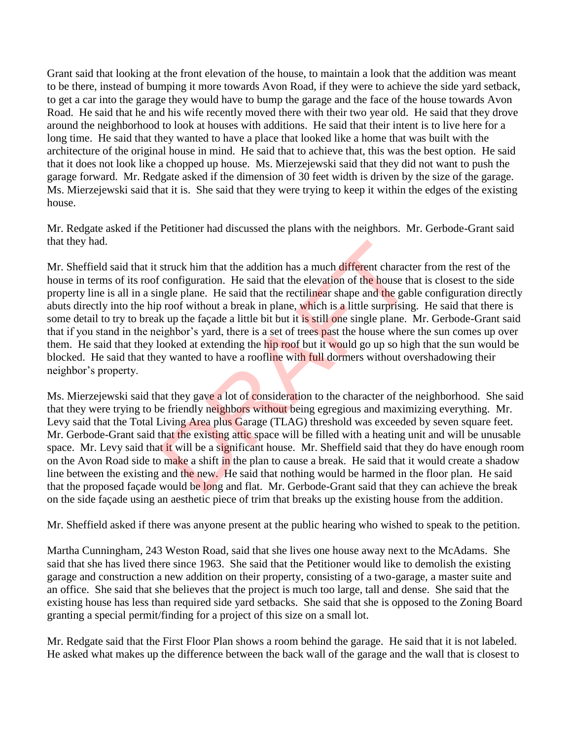Grant said that looking at the front elevation of the house, to maintain a look that the addition was meant to be there, instead of bumping it more towards Avon Road, if they were to achieve the side yard setback, to get a car into the garage they would have to bump the garage and the face of the house towards Avon Road. He said that he and his wife recently moved there with their two year old. He said that they drove around the neighborhood to look at houses with additions. He said that their intent is to live here for a long time. He said that they wanted to have a place that looked like a home that was built with the architecture of the original house in mind. He said that to achieve that, this was the best option. He said that it does not look like a chopped up house. Ms. Mierzejewski said that they did not want to push the garage forward. Mr. Redgate asked if the dimension of 30 feet width is driven by the size of the garage. Ms. Mierzejewski said that it is. She said that they were trying to keep it within the edges of the existing house.

Mr. Redgate asked if the Petitioner had discussed the plans with the neighbors. Mr. Gerbode-Grant said that they had.

Mr. Sheffield said that it struck him that the addition has a much different character from the rest of the house in terms of its roof configuration. He said that the elevation of the house that is closest to the side property line is all in a single plane. He said that the rectilinear shape and the gable configuration directly abuts directly into the hip roof without a break in plane, which is a little surprising. He said that there is some detail to try to break up the façade a little bit but it is still one single plane. Mr. Gerbode-Grant said that if you stand in the neighbor's yard, there is a set of trees past the house where the sun comes up over them. He said that they looked at extending the hip roof but it would go up so high that the sun would be blocked. He said that they wanted to have a roofline with full dormers without overshadowing their neighbor's property. struck him that the addition has a much different charact<br>
i configuration. He said that the elevation of the house th<br>
ngle plane. He said that the rectilinear shape and the gab<br>
notof without a break in plane, which is a

Ms. Mierzejewski said that they gave a lot of consideration to the character of the neighborhood. She said that they were trying to be friendly neighbors without being egregious and maximizing everything. Mr. Levy said that the Total Living Area plus Garage (TLAG) threshold was exceeded by seven square feet. Mr. Gerbode-Grant said that the existing attic space will be filled with a heating unit and will be unusable space. Mr. Levy said that it will be a significant house. Mr. Sheffield said that they do have enough room on the Avon Road side to make a shift in the plan to cause a break. He said that it would create a shadow line between the existing and the new. He said that nothing would be harmed in the floor plan. He said that the proposed façade would be long and flat. Mr. Gerbode-Grant said that they can achieve the break on the side façade using an aesthetic piece of trim that breaks up the existing house from the addition.

Mr. Sheffield asked if there was anyone present at the public hearing who wished to speak to the petition.

Martha Cunningham, 243 Weston Road, said that she lives one house away next to the McAdams. She said that she has lived there since 1963. She said that the Petitioner would like to demolish the existing garage and construction a new addition on their property, consisting of a two-garage, a master suite and an office. She said that she believes that the project is much too large, tall and dense. She said that the existing house has less than required side yard setbacks. She said that she is opposed to the Zoning Board granting a special permit/finding for a project of this size on a small lot.

Mr. Redgate said that the First Floor Plan shows a room behind the garage. He said that it is not labeled. He asked what makes up the difference between the back wall of the garage and the wall that is closest to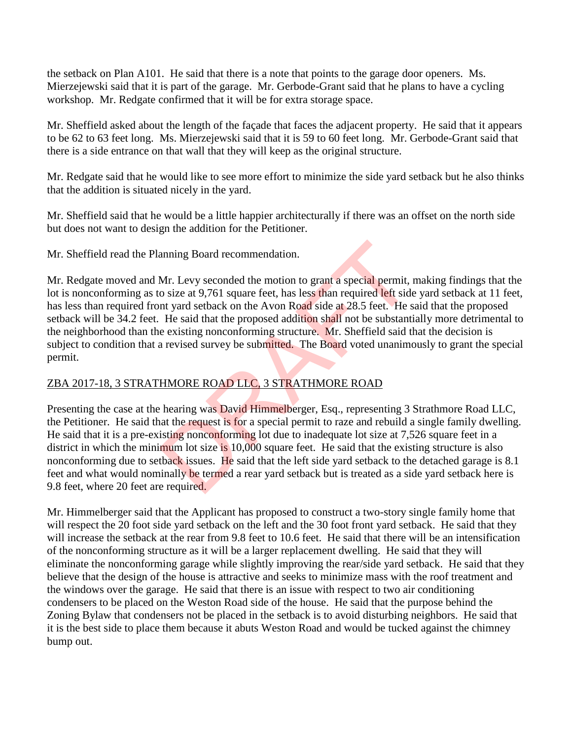the setback on Plan A101. He said that there is a note that points to the garage door openers. Ms. Mierzejewski said that it is part of the garage. Mr. Gerbode-Grant said that he plans to have a cycling workshop. Mr. Redgate confirmed that it will be for extra storage space.

Mr. Sheffield asked about the length of the façade that faces the adjacent property. He said that it appears to be 62 to 63 feet long. Ms. Mierzejewski said that it is 59 to 60 feet long. Mr. Gerbode-Grant said that there is a side entrance on that wall that they will keep as the original structure.

Mr. Redgate said that he would like to see more effort to minimize the side yard setback but he also thinks that the addition is situated nicely in the yard.

Mr. Sheffield said that he would be a little happier architecturally if there was an offset on the north side but does not want to design the addition for the Petitioner.

Mr. Sheffield read the Planning Board recommendation.

Mr. Redgate moved and Mr. Levy seconded the motion to grant a special permit, making findings that the lot is nonconforming as to size at 9,761 square feet, has less than required left side yard setback at 11 feet, has less than required front yard setback on the Avon Road side at 28.5 feet. He said that the proposed setback will be 34.2 feet. He said that the proposed addition shall not be substantially more detrimental to the neighborhood than the existing nonconforming structure. Mr. Sheffield said that the decision is subject to condition that a revised survey be submitted. The Board voted unanimously to grant the special permit. anning Board recommendation.<br>
Mr. Levy seconded the motion to grant a special permit, o size at 9,761 square feet, has less than required left side<br>
nt yard setback on the Avon Road side at 28.5 feet. He s<br>
He said that th

# ZBA 2017-18, 3 STRATHMORE ROAD LLC, 3 STRATHMORE ROAD

Presenting the case at the hearing was David Himmelberger, Esq., representing 3 Strathmore Road LLC, the Petitioner. He said that the request is for a special permit to raze and rebuild a single family dwelling. He said that it is a pre-existing nonconforming lot due to inadequate lot size at 7,526 square feet in a district in which the minimum lot size is 10,000 square feet. He said that the existing structure is also nonconforming due to setback issues. He said that the left side yard setback to the detached garage is 8.1 feet and what would nominally be termed a rear yard setback but is treated as a side yard setback here is 9.8 feet, where 20 feet are required.

Mr. Himmelberger said that the Applicant has proposed to construct a two-story single family home that will respect the 20 foot side yard setback on the left and the 30 foot front yard setback. He said that they will increase the setback at the rear from 9.8 feet to 10.6 feet. He said that there will be an intensification of the nonconforming structure as it will be a larger replacement dwelling. He said that they will eliminate the nonconforming garage while slightly improving the rear/side yard setback. He said that they believe that the design of the house is attractive and seeks to minimize mass with the roof treatment and the windows over the garage. He said that there is an issue with respect to two air conditioning condensers to be placed on the Weston Road side of the house. He said that the purpose behind the Zoning Bylaw that condensers not be placed in the setback is to avoid disturbing neighbors. He said that it is the best side to place them because it abuts Weston Road and would be tucked against the chimney bump out.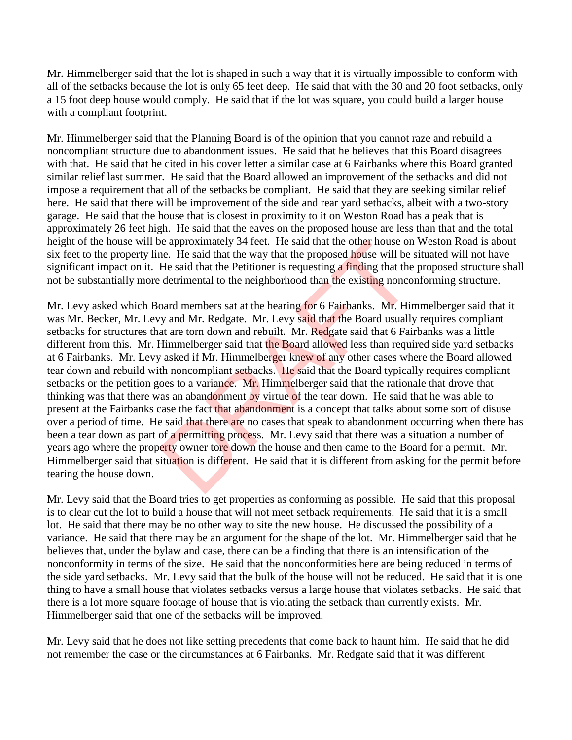Mr. Himmelberger said that the lot is shaped in such a way that it is virtually impossible to conform with all of the setbacks because the lot is only 65 feet deep. He said that with the 30 and 20 foot setbacks, only a 15 foot deep house would comply. He said that if the lot was square, you could build a larger house with a compliant footprint.

Mr. Himmelberger said that the Planning Board is of the opinion that you cannot raze and rebuild a noncompliant structure due to abandonment issues. He said that he believes that this Board disagrees with that. He said that he cited in his cover letter a similar case at 6 Fairbanks where this Board granted similar relief last summer. He said that the Board allowed an improvement of the setbacks and did not impose a requirement that all of the setbacks be compliant. He said that they are seeking similar relief here. He said that there will be improvement of the side and rear yard setbacks, albeit with a two-story garage. He said that the house that is closest in proximity to it on Weston Road has a peak that is approximately 26 feet high. He said that the eaves on the proposed house are less than that and the total height of the house will be approximately 34 feet. He said that the other house on Weston Road is about six feet to the property line. He said that the way that the proposed house will be situated will not have significant impact on it. He said that the Petitioner is requesting a finding that the proposed structure shall not be substantially more detrimental to the neighborhood than the existing nonconforming structure.

Mr. Levy asked which Board members sat at the hearing for 6 Fairbanks. Mr. Himmelberger said that it was Mr. Becker, Mr. Levy and Mr. Redgate. Mr. Levy said that the Board usually requires compliant setbacks for structures that are torn down and rebuilt. Mr. Redgate said that 6 Fairbanks was a little different from this. Mr. Himmelberger said that the Board allowed less than required side yard setbacks at 6 Fairbanks. Mr. Levy asked if Mr. Himmelberger knew of any other cases where the Board allowed tear down and rebuild with noncompliant setbacks. He said that the Board typically requires compliant setbacks or the petition goes to a variance. Mr. Himmelberger said that the rationale that drove that thinking was that there was an abandonment by virtue of the tear down. He said that he was able to present at the Fairbanks case the fact that abandonment is a concept that talks about some sort of disuse over a period of time. He said that there are no cases that speak to abandonment occurring when there has been a tear down as part of a permitting process. Mr. Levy said that there was a situation a number of years ago where the property owner tore down the house and then came to the Board for a permit. Mr. Himmelberger said that situation is different. He said that it is different from asking for the permit before tearing the house down. be approximately 34 reet. He said that the other house on<br>the. He said that the way that the proposed house will be<br>He said that the Petitioner is requesting a finding that the<br>detrimental to the neighborhood than the exis

Mr. Levy said that the Board tries to get properties as conforming as possible. He said that this proposal is to clear cut the lot to build a house that will not meet setback requirements. He said that it is a small lot. He said that there may be no other way to site the new house. He discussed the possibility of a variance. He said that there may be an argument for the shape of the lot. Mr. Himmelberger said that he believes that, under the bylaw and case, there can be a finding that there is an intensification of the nonconformity in terms of the size. He said that the nonconformities here are being reduced in terms of the side yard setbacks. Mr. Levy said that the bulk of the house will not be reduced. He said that it is one thing to have a small house that violates setbacks versus a large house that violates setbacks. He said that there is a lot more square footage of house that is violating the setback than currently exists. Mr. Himmelberger said that one of the setbacks will be improved.

Mr. Levy said that he does not like setting precedents that come back to haunt him. He said that he did not remember the case or the circumstances at 6 Fairbanks. Mr. Redgate said that it was different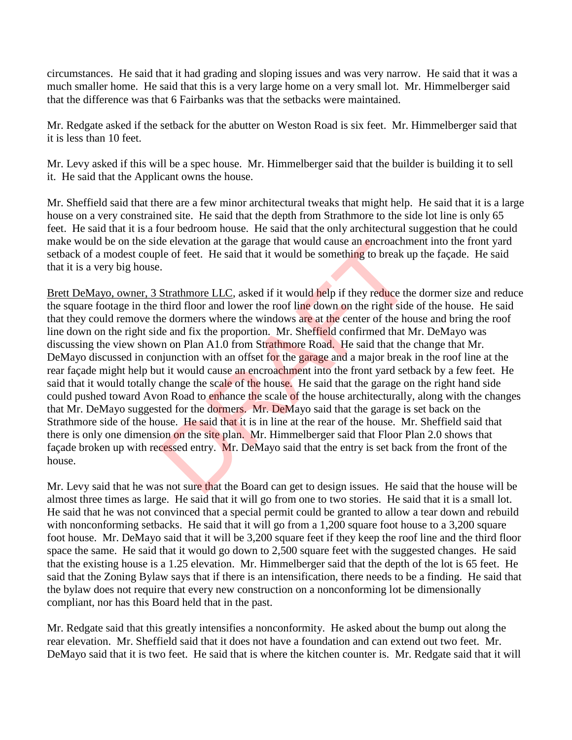circumstances. He said that it had grading and sloping issues and was very narrow. He said that it was a much smaller home. He said that this is a very large home on a very small lot. Mr. Himmelberger said that the difference was that 6 Fairbanks was that the setbacks were maintained.

Mr. Redgate asked if the setback for the abutter on Weston Road is six feet. Mr. Himmelberger said that it is less than 10 feet.

Mr. Levy asked if this will be a spec house. Mr. Himmelberger said that the builder is building it to sell it. He said that the Applicant owns the house.

Mr. Sheffield said that there are a few minor architectural tweaks that might help. He said that it is a large house on a very constrained site. He said that the depth from Strathmore to the side lot line is only 65 feet. He said that it is a four bedroom house. He said that the only architectural suggestion that he could make would be on the side elevation at the garage that would cause an encroachment into the front yard setback of a modest couple of feet. He said that it would be something to break up the façade. He said that it is a very big house.

Brett DeMayo, owner, 3 Strathmore LLC, asked if it would help if they reduce the dormer size and reduce the square footage in the third floor and lower the roof line down on the right side of the house. He said that they could remove the dormers where the windows are at the center of the house and bring the roof line down on the right side and fix the proportion. Mr. Sheffield confirmed that Mr. DeMayo was discussing the view shown on Plan A1.0 from Strathmore Road. He said that the change that Mr. DeMayo discussed in conjunction with an offset for the garage and a major break in the roof line at the rear façade might help but it would cause an encroachment into the front yard setback by a few feet. He said that it would totally change the scale of the house. He said that the garage on the right hand side could pushed toward Avon Road to enhance the scale of the house architecturally, along with the changes that Mr. DeMayo suggested for the dormers. Mr. DeMayo said that the garage is set back on the Strathmore side of the house. He said that it is in line at the rear of the house. Mr. Sheffield said that there is only one dimension on the site plan. Mr. Himmelberger said that Floor Plan 2.0 shows that façade broken up with recessed entry. Mr. DeMayo said that the entry is set back from the front of the house. de elevation at the garage that would cause an encroachm<br>le of feet. He said that it would be something to break up<br>.<br>Strathmore LLC, asked if it would help if they reduce the<br>third floor and lower the roof line down on th

Mr. Levy said that he was not sure that the Board can get to design issues. He said that the house will be almost three times as large. He said that it will go from one to two stories. He said that it is a small lot. He said that he was not convinced that a special permit could be granted to allow a tear down and rebuild with nonconforming setbacks. He said that it will go from a 1,200 square foot house to a 3,200 square foot house. Mr. DeMayo said that it will be 3,200 square feet if they keep the roof line and the third floor space the same. He said that it would go down to 2,500 square feet with the suggested changes. He said that the existing house is a 1.25 elevation. Mr. Himmelberger said that the depth of the lot is 65 feet. He said that the Zoning Bylaw says that if there is an intensification, there needs to be a finding. He said that the bylaw does not require that every new construction on a nonconforming lot be dimensionally compliant, nor has this Board held that in the past.

Mr. Redgate said that this greatly intensifies a nonconformity. He asked about the bump out along the rear elevation. Mr. Sheffield said that it does not have a foundation and can extend out two feet. Mr. DeMayo said that it is two feet. He said that is where the kitchen counter is. Mr. Redgate said that it will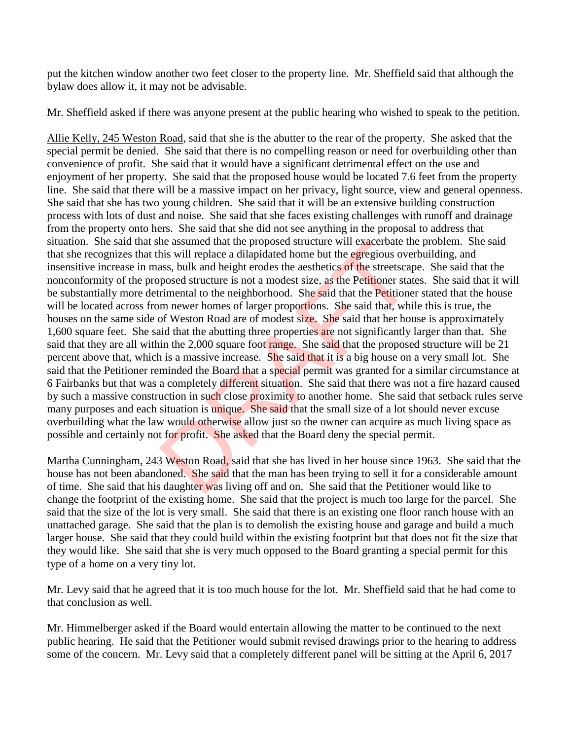put the kitchen window another two feet closer to the property line. Mr. Sheffield said that although the bylaw does allow it, it may not be advisable.

Mr. Sheffield asked if there was anyone present at the public hearing who wished to speak to the petition.

Allie Kelly, 245 Weston Road, said that she is the abutter to the rear of the property. She asked that the special permit be denied. She said that there is no compelling reason or need for overbuilding other than convenience of profit. She said that it would have a significant detrimental effect on the use and enjoyment of her property. She said that the proposed house would be located 7.6 feet from the property line. She said that there will be a massive impact on her privacy, light source, view and general openness. She said that she has two young children. She said that it will be an extensive building construction process with lots of dust and noise. She said that she faces existing challenges with runoff and drainage from the property onto hers. She said that she did not see anything in the proposal to address that situation. She said that she assumed that the proposed structure will exacerbate the problem. She said that she recognizes that this will replace a dilapidated home but the egregious overbuilding, and insensitive increase in mass, bulk and height erodes the aesthetics of the streetscape. She said that the nonconformity of the proposed structure is not a modest size, as the Petitioner states. She said that it will be substantially more detrimental to the neighborhood. She said that the Petitioner stated that the house will be located across from newer homes of larger proportions. She said that, while this is true, the houses on the same side of Weston Road are of modest size. She said that her house is approximately 1,600 square feet. She said that the abutting three properties are not significantly larger than that. She said that they are all within the 2,000 square foot range. She said that the proposed structure will be 21 percent above that, which is a massive increase. She said that it is a big house on a very small lot. She said that the Petitioner reminded the Board that a special permit was granted for a similar circumstance at 6 Fairbanks but that was a completely different situation. She said that there was not a fire hazard caused by such a massive construction in such close proximity to another home. She said that setback rules serve many purposes and each situation is unique. She said that the small size of a lot should never excuse overbuilding what the law would otherwise allow just so the owner can acquire as much living space as possible and certainly not for profit. She asked that the Board deny the special permit. the assumed that the proposed structure will exacerbate the his will replace a dilapidated home but the egregious ove sas, bulk and height erodes the aesthetics of the streetscap posed structure is not a modest size, as th

Martha Cunningham, 243 Weston Road, said that she has lived in her house since 1963. She said that the house has not been abandoned. She said that the man has been trying to sell it for a considerable amount of time. She said that his daughter was living off and on. She said that the Petitioner would like to change the footprint of the existing home. She said that the project is much too large for the parcel. She said that the size of the lot is very small. She said that there is an existing one floor ranch house with an unattached garage. She said that the plan is to demolish the existing house and garage and build a much larger house. She said that they could build within the existing footprint but that does not fit the size that they would like. She said that she is very much opposed to the Board granting a special permit for this type of a home on a very tiny lot.

Mr. Levy said that he agreed that it is too much house for the lot. Mr. Sheffield said that he had come to that conclusion as well.

Mr. Himmelberger asked if the Board would entertain allowing the matter to be continued to the next public hearing. He said that the Petitioner would submit revised drawings prior to the hearing to address some of the concern. Mr. Levy said that a completely different panel will be sitting at the April 6, 2017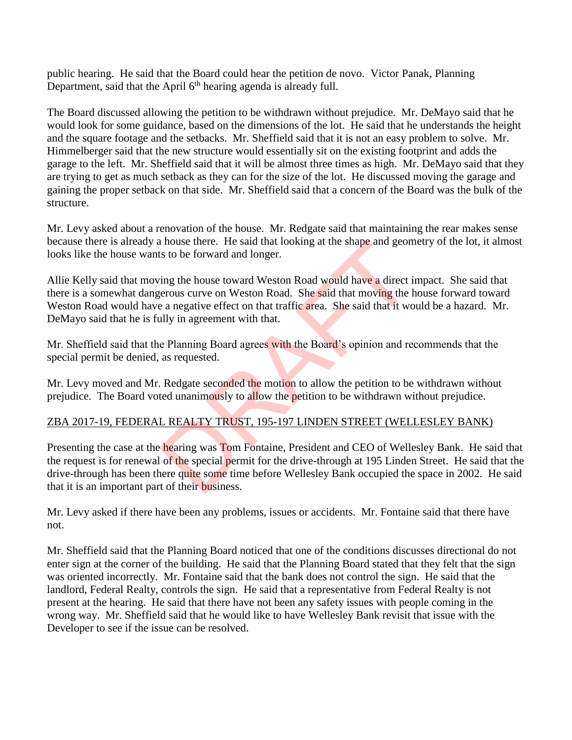public hearing. He said that the Board could hear the petition de novo. Victor Panak, Planning Department, said that the April  $6<sup>th</sup>$  hearing agenda is already full.

The Board discussed allowing the petition to be withdrawn without prejudice. Mr. DeMayo said that he would look for some guidance, based on the dimensions of the lot. He said that he understands the height and the square footage and the setbacks. Mr. Sheffield said that it is not an easy problem to solve. Mr. Himmelberger said that the new structure would essentially sit on the existing footprint and adds the garage to the left. Mr. Sheffield said that it will be almost three times as high. Mr. DeMayo said that they are trying to get as much setback as they can for the size of the lot. He discussed moving the garage and gaining the proper setback on that side. Mr. Sheffield said that a concern of the Board was the bulk of the structure.

Mr. Levy asked about a renovation of the house. Mr. Redgate said that maintaining the rear makes sense because there is already a house there. He said that looking at the shape and geometry of the lot, it almost looks like the house wants to be forward and longer.

Allie Kelly said that moving the house toward Weston Road would have a direct impact. She said that there is a somewhat dangerous curve on Weston Road. She said that moving the house forward toward Weston Road would have a negative effect on that traffic area. She said that it would be a hazard. Mr. DeMayo said that he is fully in agreement with that. The said that looking at the shape and geon<br>ts to be forward and longer.<br>ing the house toward Weston Road would have a direct in<br>erous curve on Weston Road. She said that moving the le<br>a negative effect on that traffic are

Mr. Sheffield said that the Planning Board agrees with the Board's opinion and recommends that the special permit be denied, as requested.

Mr. Levy moved and Mr. Redgate seconded the motion to allow the petition to be withdrawn without prejudice. The Board voted unanimously to allow the petition to be withdrawn without prejudice.

# ZBA 2017-19, FEDERAL REALTY TRUST, 195-197 LINDEN STREET (WELLESLEY BANK)

Presenting the case at the hearing was Tom Fontaine, President and CEO of Wellesley Bank. He said that the request is for renewal of the special permit for the drive-through at 195 Linden Street. He said that the drive-through has been there quite some time before Wellesley Bank occupied the space in 2002. He said that it is an important part of their business.

Mr. Levy asked if there have been any problems, issues or accidents. Mr. Fontaine said that there have not.

Mr. Sheffield said that the Planning Board noticed that one of the conditions discusses directional do not enter sign at the corner of the building. He said that the Planning Board stated that they felt that the sign was oriented incorrectly. Mr. Fontaine said that the bank does not control the sign. He said that the landlord, Federal Realty, controls the sign. He said that a representative from Federal Realty is not present at the hearing. He said that there have not been any safety issues with people coming in the wrong way. Mr. Sheffield said that he would like to have Wellesley Bank revisit that issue with the Developer to see if the issue can be resolved.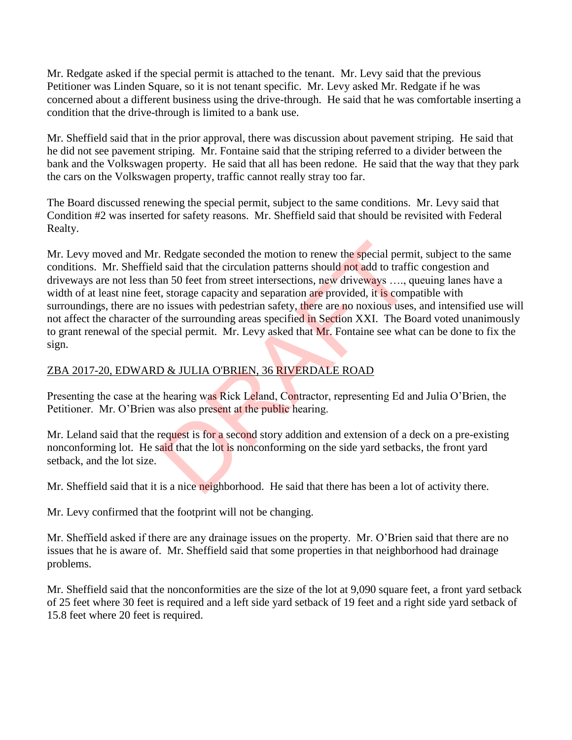Mr. Redgate asked if the special permit is attached to the tenant. Mr. Levy said that the previous Petitioner was Linden Square, so it is not tenant specific. Mr. Levy asked Mr. Redgate if he was concerned about a different business using the drive-through. He said that he was comfortable inserting a condition that the drive-through is limited to a bank use.

Mr. Sheffield said that in the prior approval, there was discussion about pavement striping. He said that he did not see pavement striping. Mr. Fontaine said that the striping referred to a divider between the bank and the Volkswagen property. He said that all has been redone. He said that the way that they park the cars on the Volkswagen property, traffic cannot really stray too far.

The Board discussed renewing the special permit, subject to the same conditions. Mr. Levy said that Condition #2 was inserted for safety reasons. Mr. Sheffield said that should be revisited with Federal Realty.

Mr. Levy moved and Mr. Redgate seconded the motion to renew the special permit, subject to the same conditions. Mr. Sheffield said that the circulation patterns should not add to traffic congestion and driveways are not less than 50 feet from street intersections, new driveways …., queuing lanes have a width of at least nine feet, storage capacity and separation are provided, it is compatible with surroundings, there are no issues with pedestrian safety, there are no noxious uses, and intensified use will not affect the character of the surrounding areas specified in Section XXI. The Board voted unanimously to grant renewal of the special permit. Mr. Levy asked that Mr. Fontaine see what can be done to fix the sign. Redgate seconded the motion to renew the special perm<br>I said that the circulation patterns should not add to traffi<br>an 50 feet from street intersections, new driveways ..., q<br>i, storage capacity and separation are provide

# ZBA 2017-20, EDWARD & JULIA O'BRIEN, 36 RIVERDALE ROAD

Presenting the case at the hearing was Rick Leland, Contractor, representing Ed and Julia O'Brien, the Petitioner. Mr. O'Brien was also present at the public hearing.

Mr. Leland said that the request is for a second story addition and extension of a deck on a pre-existing nonconforming lot. He said that the lot is nonconforming on the side yard setbacks, the front yard setback, and the lot size.

Mr. Sheffield said that it is a nice neighborhood. He said that there has been a lot of activity there.

Mr. Levy confirmed that the footprint will not be changing.

Mr. Sheffield asked if there are any drainage issues on the property. Mr. O'Brien said that there are no issues that he is aware of. Mr. Sheffield said that some properties in that neighborhood had drainage problems.

Mr. Sheffield said that the nonconformities are the size of the lot at 9,090 square feet, a front yard setback of 25 feet where 30 feet is required and a left side yard setback of 19 feet and a right side yard setback of 15.8 feet where 20 feet is required.